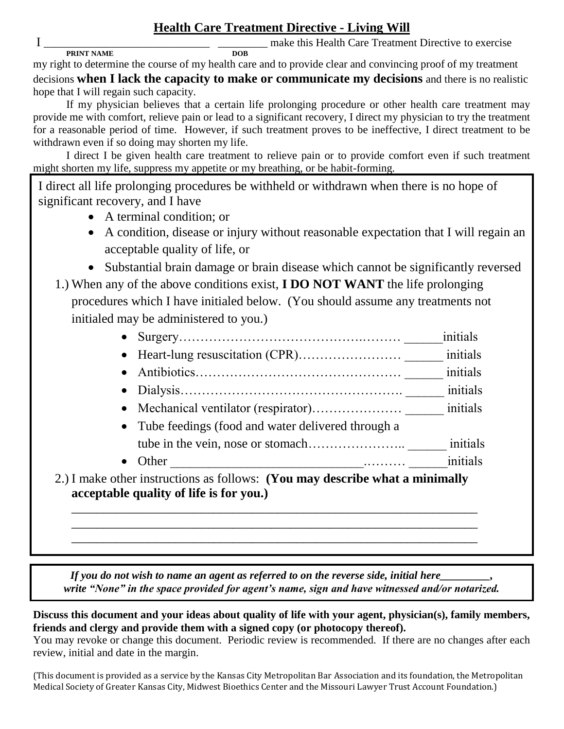## **Health Care Treatment Directive - Living Will**

 $I_{\text{PRINT NAME}}$  make this Health Care Treatment Directive to exercise **PRINT NAME** 

my right to determine the course of my health care and to provide clear and convincing proof of my treatment decisions **when I lack the capacity to make or communicate my decisions** and there is no realistic

hope that I will regain such capacity.

If my physician believes that a certain life prolonging procedure or other health care treatment may provide me with comfort, relieve pain or lead to a significant recovery, I direct my physician to try the treatment for a reasonable period of time. However, if such treatment proves to be ineffective, I direct treatment to be withdrawn even if so doing may shorten my life.

 I direct I be given health care treatment to relieve pain or to provide comfort even if such treatment might shorten my life, suppress my appetite or my breathing, or be habit-forming.

I direct all life prolonging procedures be withheld or withdrawn when there is no hope of significant recovery, and I have

- A terminal condition; or
- A condition, disease or injury without reasonable expectation that I will regain an acceptable quality of life, or
- Substantial brain damage or brain disease which cannot be significantly reversed
- 1.) When any of the above conditions exist, **I DO NOT WANT** the life prolonging procedures which I have initialed below. (You should assume any treatments not initialed may be administered to you.)

|                                                                                                            | initials |
|------------------------------------------------------------------------------------------------------------|----------|
|                                                                                                            | initials |
|                                                                                                            | initials |
|                                                                                                            | initials |
|                                                                                                            | initials |
| • Tube feedings (food and water delivered through a                                                        |          |
|                                                                                                            | initials |
| • Other                                                                                                    | initials |
| e other instructions as follows: (You may describe what a minimally<br>table quality of life is for you ). |          |

2.) I make other instructions as follows: **(You may describe what a minimally acceptable quality of life is for you.)** \_\_\_\_\_\_\_\_\_\_\_\_\_\_\_\_\_\_\_\_\_\_\_\_\_\_\_\_\_\_\_\_\_\_\_\_\_\_\_\_\_\_\_\_\_\_\_\_\_\_\_\_\_\_\_\_\_\_\_\_\_\_\_

\_\_\_\_\_\_\_\_\_\_\_\_\_\_\_\_\_\_\_\_\_\_\_\_\_\_\_\_\_\_\_\_\_\_\_\_\_\_\_\_\_\_\_\_\_\_\_\_\_\_\_\_\_\_\_\_\_\_\_\_\_\_\_ \_\_\_\_\_\_\_\_\_\_\_\_\_\_\_\_\_\_\_\_\_\_\_\_\_\_\_\_\_\_\_\_\_\_\_\_\_\_\_\_\_\_\_\_\_\_\_\_\_\_\_\_\_\_\_\_\_\_\_\_\_\_\_

*If you do not wish to name an agent as referred to on the reverse side, initial here\_\_\_\_\_\_\_\_\_, write "None" in the space provided for agent's name, sign and have witnessed and/or notarized.*

**Discuss this document and your ideas about quality of life with your agent, physician(s), family members, friends and clergy and provide them with a signed copy (or photocopy thereof).** 

You may revoke or change this document. Periodic review is recommended. If there are no changes after each review, initial and date in the margin.

(This document is provided as a service by the Kansas City Metropolitan Bar Association and its foundation, the Metropolitan Medical Society of Greater Kansas City, Midwest Bioethics Center and the Missouri Lawyer Trust Account Foundation.)